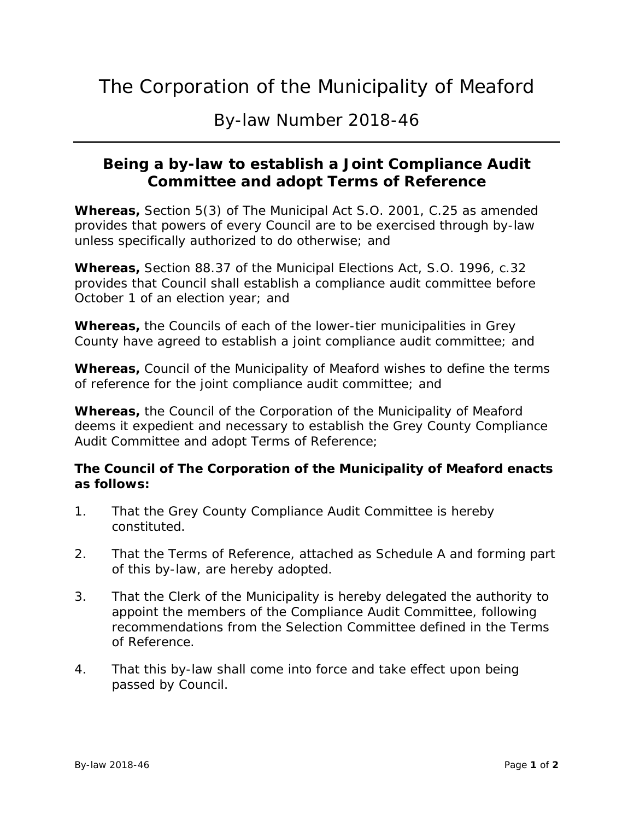## The Corporation of the Municipality of Meaford

By-law Number 2018-46

### **Being a by-law to establish a Joint Compliance Audit Committee and adopt Terms of Reference**

**Whereas,** Section 5(3) of The Municipal Act S.O. 2001, C.25 as amended provides that powers of every Council are to be exercised through by-law unless specifically authorized to do otherwise; and

**Whereas,** Section 88.37 of the Municipal Elections Act, S.O. 1996, c.32 provides that Council shall establish a compliance audit committee before October 1 of an election year; and

**Whereas,** the Councils of each of the lower-tier municipalities in Grey County have agreed to establish a joint compliance audit committee; and

**Whereas,** Council of the Municipality of Meaford wishes to define the terms of reference for the joint compliance audit committee; and

**Whereas,** the Council of the Corporation of the Municipality of Meaford deems it expedient and necessary to establish the Grey County Compliance Audit Committee and adopt Terms of Reference;

#### **The Council of The Corporation of the Municipality of Meaford enacts as follows:**

- 1. That the Grey County Compliance Audit Committee is hereby constituted.
- 2. That the Terms of Reference, attached as Schedule A and forming part of this by-law, are hereby adopted.
- 3. That the Clerk of the Municipality is hereby delegated the authority to appoint the members of the Compliance Audit Committee, following recommendations from the Selection Committee defined in the Terms of Reference.
- 4. That this by-law shall come into force and take effect upon being passed by Council.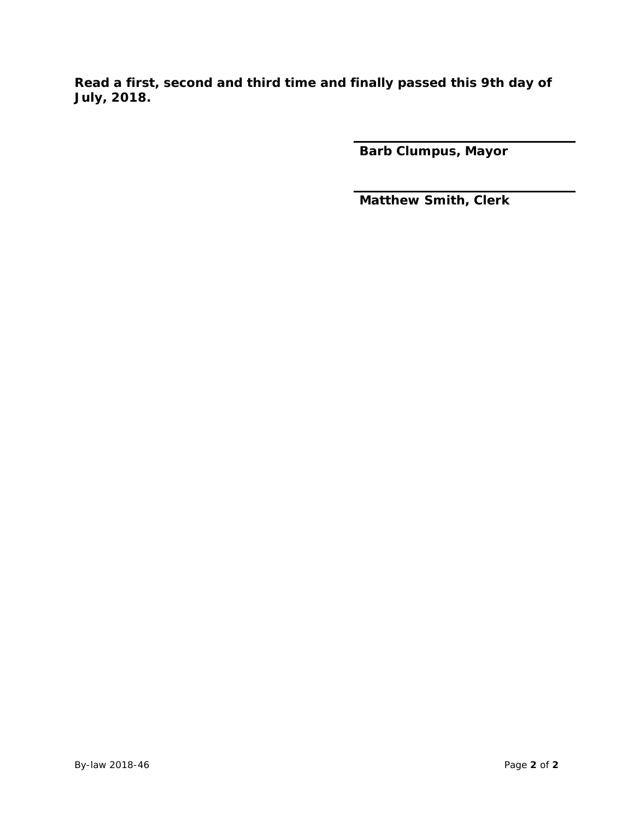**Read a first, second and third time and finally passed this 9th day of July, 2018.**

**Barb Clumpus, Mayor**

**Matthew Smith, Clerk**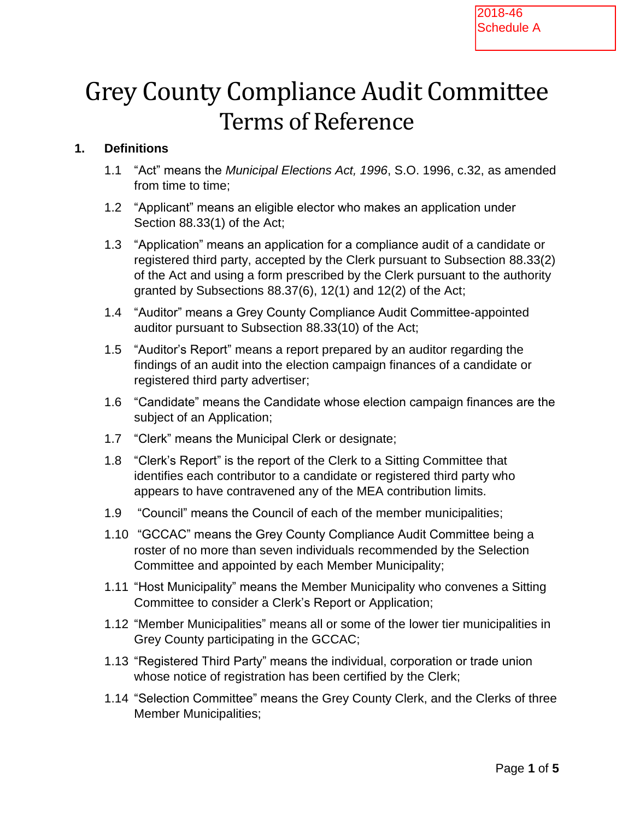# Grey County Compliance Audit Committee Terms of Reference

#### **1. Definitions**

- 1.1 "Act" means the *Municipal Elections Act, 1996*, S.O. 1996, c.32, as amended from time to time;
- 1.2 "Applicant" means an eligible elector who makes an application under Section 88.33(1) of the Act;
- 1.3 "Application" means an application for a compliance audit of a candidate or registered third party, accepted by the Clerk pursuant to Subsection 88.33(2) of the Act and using a form prescribed by the Clerk pursuant to the authority granted by Subsections 88.37(6), 12(1) and 12(2) of the Act;
- 1.4 "Auditor" means a Grey County Compliance Audit Committee-appointed auditor pursuant to Subsection 88.33(10) of the Act;
- 1.5 "Auditor's Report" means a report prepared by an auditor regarding the findings of an audit into the election campaign finances of a candidate or registered third party advertiser;
- 1.6 "Candidate" means the Candidate whose election campaign finances are the subject of an Application;
- 1.7 "Clerk" means the Municipal Clerk or designate;
- 1.8 "Clerk's Report" is the report of the Clerk to a Sitting Committee that identifies each contributor to a candidate or registered third party who appears to have contravened any of the MEA contribution limits.
- 1.9 "Council" means the Council of each of the member municipalities;
- 1.10 "GCCAC" means the Grey County Compliance Audit Committee being a roster of no more than seven individuals recommended by the Selection Committee and appointed by each Member Municipality;
- 1.11 "Host Municipality" means the Member Municipality who convenes a Sitting Committee to consider a Clerk's Report or Application;
- 1.12 "Member Municipalities" means all or some of the lower tier municipalities in Grey County participating in the GCCAC;
- 1.13 "Registered Third Party" means the individual, corporation or trade union whose notice of registration has been certified by the Clerk;
- 1.14 "Selection Committee" means the Grey County Clerk, and the Clerks of three Member Municipalities;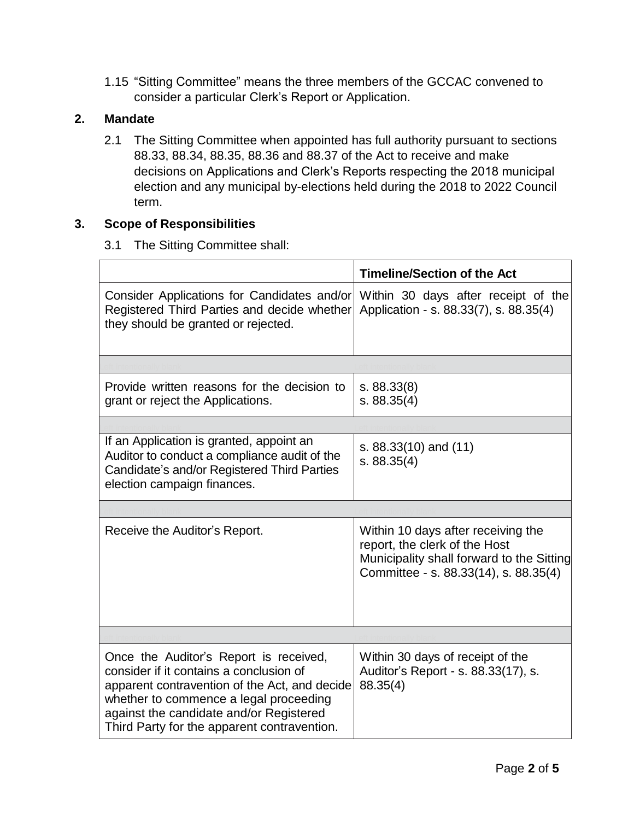1.15 "Sitting Committee" means the three members of the GCCAC convened to consider a particular Clerk's Report or Application.

#### **2. Mandate**

2.1 The Sitting Committee when appointed has full authority pursuant to sections 88.33, 88.34, 88.35, 88.36 and 88.37 of the Act to receive and make decisions on Applications and Clerk's Reports respecting the 2018 municipal election and any municipal by-elections held during the 2018 to 2022 Council term.

#### **3. Scope of Responsibilities**

3.1 The Sitting Committee shall:

|                                                                                                                                                                                                                                                                        | <b>Timeline/Section of the Act</b>                                                                                                                        |
|------------------------------------------------------------------------------------------------------------------------------------------------------------------------------------------------------------------------------------------------------------------------|-----------------------------------------------------------------------------------------------------------------------------------------------------------|
| Consider Applications for Candidates and/or<br>Registered Third Parties and decide whether<br>they should be granted or rejected.                                                                                                                                      | Within 30 days after receipt of the<br>Application - s. 88.33(7), s. 88.35(4)                                                                             |
|                                                                                                                                                                                                                                                                        |                                                                                                                                                           |
| Provide written reasons for the decision to<br>grant or reject the Applications.                                                                                                                                                                                       | s. 88.33(8)<br>s. 88.35(4)                                                                                                                                |
|                                                                                                                                                                                                                                                                        |                                                                                                                                                           |
| If an Application is granted, appoint an<br>Auditor to conduct a compliance audit of the<br>Candidate's and/or Registered Third Parties<br>election campaign finances.                                                                                                 | s. $88.33(10)$ and $(11)$<br>s. 88.35(4)                                                                                                                  |
|                                                                                                                                                                                                                                                                        |                                                                                                                                                           |
| Receive the Auditor's Report.                                                                                                                                                                                                                                          | Within 10 days after receiving the<br>report, the clerk of the Host<br>Municipality shall forward to the Sitting<br>Committee - s. 88.33(14), s. 88.35(4) |
|                                                                                                                                                                                                                                                                        |                                                                                                                                                           |
| Once the Auditor's Report is received,<br>consider if it contains a conclusion of<br>apparent contravention of the Act, and decide<br>whether to commence a legal proceeding<br>against the candidate and/or Registered<br>Third Party for the apparent contravention. | Within 30 days of receipt of the<br>Auditor's Report - s. 88.33(17), s.<br>88.35(4)                                                                       |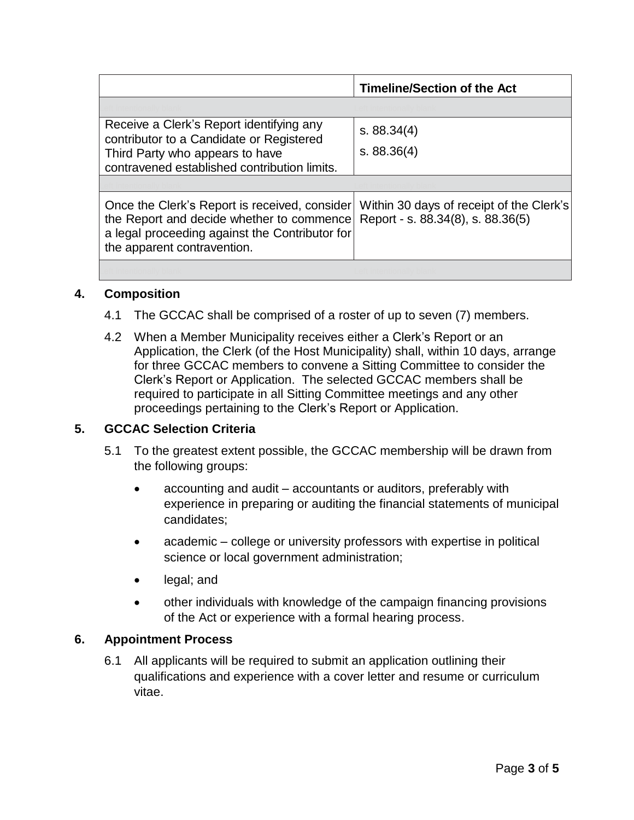|                                                                                                                                                                             | <b>Timeline/Section of the Act</b>                                            |
|-----------------------------------------------------------------------------------------------------------------------------------------------------------------------------|-------------------------------------------------------------------------------|
|                                                                                                                                                                             |                                                                               |
| Receive a Clerk's Report identifying any<br>contributor to a Candidate or Registered<br>Third Party who appears to have<br>contravened established contribution limits.     | s. 88.34(4)<br>s. 88.36(4)                                                    |
|                                                                                                                                                                             |                                                                               |
| Once the Clerk's Report is received, consider<br>the Report and decide whether to commence<br>a legal proceeding against the Contributor for<br>the apparent contravention. | Within 30 days of receipt of the Clerk's<br>Report - s. 88.34(8), s. 88.36(5) |
|                                                                                                                                                                             |                                                                               |

#### **4. Composition**

- 4.1 The GCCAC shall be comprised of a roster of up to seven (7) members.
- 4.2 When a Member Municipality receives either a Clerk's Report or an Application, the Clerk (of the Host Municipality) shall, within 10 days, arrange for three GCCAC members to convene a Sitting Committee to consider the Clerk's Report or Application. The selected GCCAC members shall be required to participate in all Sitting Committee meetings and any other proceedings pertaining to the Clerk's Report or Application.

#### **5. GCCAC Selection Criteria**

- 5.1 To the greatest extent possible, the GCCAC membership will be drawn from the following groups:
	- accounting and audit accountants or auditors, preferably with experience in preparing or auditing the financial statements of municipal candidates;
	- academic college or university professors with expertise in political science or local government administration;
	- legal; and
	- other individuals with knowledge of the campaign financing provisions of the Act or experience with a formal hearing process.

#### **6. Appointment Process**

6.1 All applicants will be required to submit an application outlining their qualifications and experience with a cover letter and resume or curriculum vitae.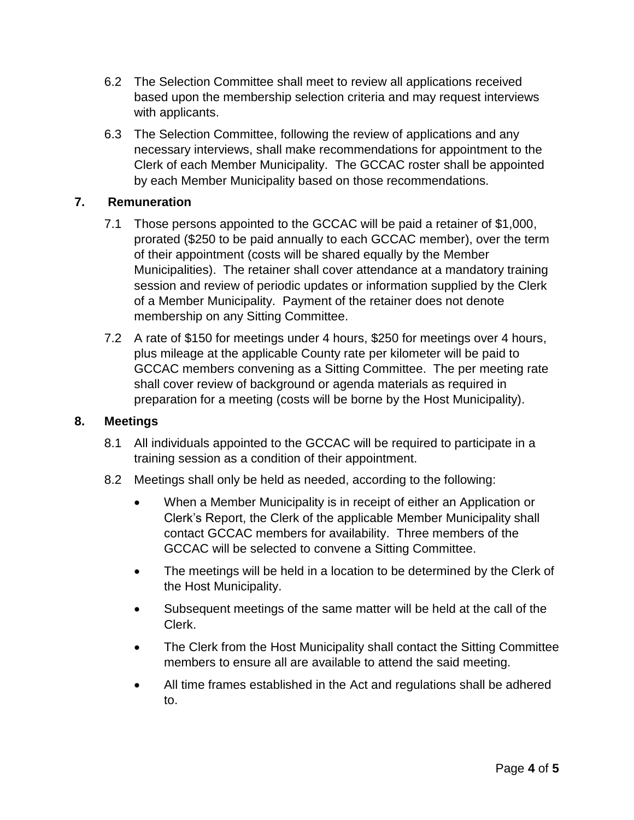- 6.2 The Selection Committee shall meet to review all applications received based upon the membership selection criteria and may request interviews with applicants.
- 6.3 The Selection Committee, following the review of applications and any necessary interviews, shall make recommendations for appointment to the Clerk of each Member Municipality. The GCCAC roster shall be appointed by each Member Municipality based on those recommendations.

#### **7. Remuneration**

- 7.1 Those persons appointed to the GCCAC will be paid a retainer of \$1,000, prorated (\$250 to be paid annually to each GCCAC member), over the term of their appointment (costs will be shared equally by the Member Municipalities). The retainer shall cover attendance at a mandatory training session and review of periodic updates or information supplied by the Clerk of a Member Municipality. Payment of the retainer does not denote membership on any Sitting Committee.
- 7.2 A rate of \$150 for meetings under 4 hours, \$250 for meetings over 4 hours, plus mileage at the applicable County rate per kilometer will be paid to GCCAC members convening as a Sitting Committee. The per meeting rate shall cover review of background or agenda materials as required in preparation for a meeting (costs will be borne by the Host Municipality).

#### **8. Meetings**

- 8.1 All individuals appointed to the GCCAC will be required to participate in a training session as a condition of their appointment.
- 8.2 Meetings shall only be held as needed, according to the following:
	- When a Member Municipality is in receipt of either an Application or Clerk's Report, the Clerk of the applicable Member Municipality shall contact GCCAC members for availability. Three members of the GCCAC will be selected to convene a Sitting Committee.
	- The meetings will be held in a location to be determined by the Clerk of the Host Municipality.
	- Subsequent meetings of the same matter will be held at the call of the Clerk.
	- The Clerk from the Host Municipality shall contact the Sitting Committee members to ensure all are available to attend the said meeting.
	- All time frames established in the Act and regulations shall be adhered to.